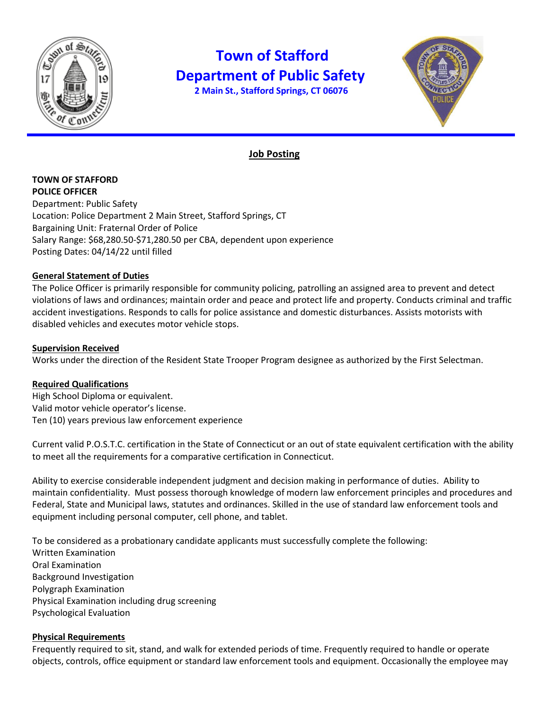

# **Town of Stafford Department of Public Safety**

 **2 Main St., Stafford Springs, CT 06076**



## **Job Posting**

**TOWN OF STAFFORD POLICE OFFICER** Department: Public Safety Location: Police Department 2 Main Street, Stafford Springs, CT Bargaining Unit: Fraternal Order of Police Salary Range: \$68,280.50-\$71,280.50 per CBA, dependent upon experience Posting Dates: 04/14/22 until filled

### **General Statement of Duties**

The Police Officer is primarily responsible for community policing, patrolling an assigned area to prevent and detect violations of laws and ordinances; maintain order and peace and protect life and property. Conducts criminal and traffic accident investigations. Responds to calls for police assistance and domestic disturbances. Assists motorists with disabled vehicles and executes motor vehicle stops.

#### **Supervision Received**

Works under the direction of the Resident State Trooper Program designee as authorized by the First Selectman.

#### **Required Qualifications**

High School Diploma or equivalent. Valid motor vehicle operator's license. Ten (10) years previous law enforcement experience

Current valid P.O.S.T.C. certification in the State of Connecticut or an out of state equivalent certification with the ability to meet all the requirements for a comparative certification in Connecticut.

Ability to exercise considerable independent judgment and decision making in performance of duties. Ability to maintain confidentiality. Must possess thorough knowledge of modern law enforcement principles and procedures and Federal, State and Municipal laws, statutes and ordinances. Skilled in the use of standard law enforcement tools and equipment including personal computer, cell phone, and tablet.

To be considered as a probationary candidate applicants must successfully complete the following: Written Examination Oral Examination Background Investigation Polygraph Examination Physical Examination including drug screening Psychological Evaluation

#### **Physical Requirements**

Frequently required to sit, stand, and walk for extended periods of time. Frequently required to handle or operate objects, controls, office equipment or standard law enforcement tools and equipment. Occasionally the employee may